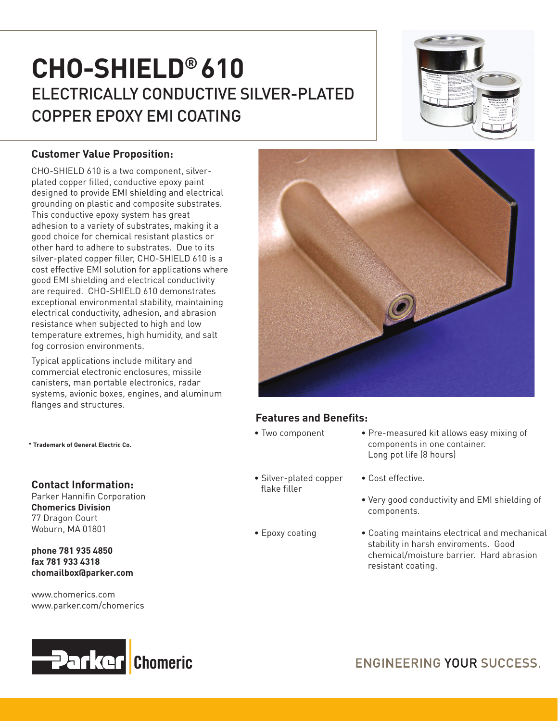# **CHO-SHIELD® 610** ELECTRICALLY CONDUCTIVE SILVER-PLATED COPPER EPOXY EMI COATING



## **Customer Value Proposition:**

CHO-SHIELD 610 is a two component, silverplated copper filled, conductive epoxy paint designed to provide EMI shielding and electrical grounding on plastic and composite substrates. This conductive epoxy system has great adhesion to a variety of substrates, making it a good choice for chemical resistant plastics or other hard to adhere to substrates. Due to its silver-plated copper filler, CHO-SHIELD 610 is a cost effective EMI solution for applications where good EMI shielding and electrical conductivity are required. CHO-SHIELD 610 demonstrates exceptional environmental stability, maintaining electrical conductivity, adhesion, and abrasion resistance when subjected to high and low temperature extremes, high humidity, and salt fog corrosion environments.

Typical applications include military and commercial electronic enclosures, missile canisters, man portable electronics, radar systems, avionic boxes, engines, and aluminum flanges and structures.

#### **\* Trademark of General Electric Co.**

#### **Contact Information:**

Parker Hannifin Corporation **Chomerics Division** 77 Dragon Court Woburn, MA 01801

**phone 781 935 4850 fax 781 933 4318 chomailbox@parker.com** 

www.chomerics.com www.parker.com/chomerics





## **Features and Benefits:**

- 
- Silver-plated copper flake filler
- 
- Two component Pre-measured kit allows easy mixing of components in one container. Long pot life (8 hours)
	- Cost effective.
	- Very good conductivity and EMI shielding of components.
- Epoxy coating Coating maintains electrical and mechanical stability in harsh enviroments. Good chemical/moisture barrier. Hard abrasion resistant coating.

ENGINEERING YOUR SUCCESS.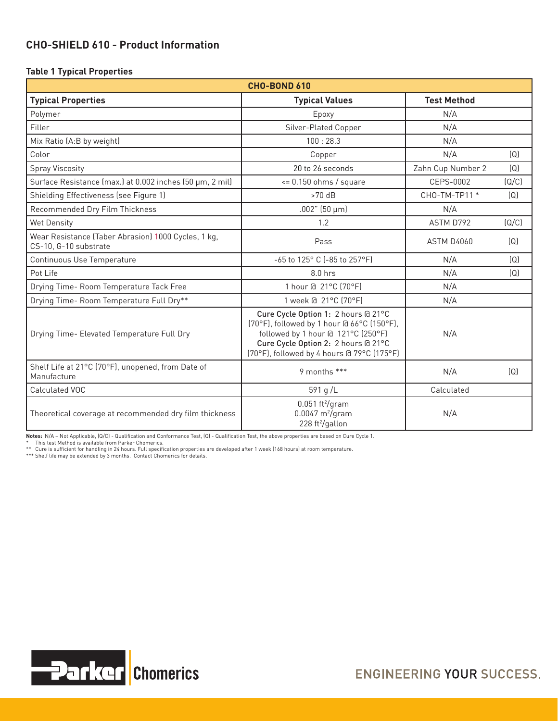## **CHO-SHIELD 610 - Product Information**

#### **Table 1 Typical Properties**

| <b>CHO-BOND 610</b>                                                          |                                                                                                                                                                                                              |                    |       |  |  |  |  |
|------------------------------------------------------------------------------|--------------------------------------------------------------------------------------------------------------------------------------------------------------------------------------------------------------|--------------------|-------|--|--|--|--|
| <b>Typical Properties</b>                                                    | <b>Typical Values</b>                                                                                                                                                                                        | <b>Test Method</b> |       |  |  |  |  |
| Polymer                                                                      | Epoxy                                                                                                                                                                                                        | N/A                |       |  |  |  |  |
| Filler                                                                       | Silver-Plated Copper                                                                                                                                                                                         | N/A                |       |  |  |  |  |
| Mix Ratio (A:B by weight)                                                    | 100:28.3                                                                                                                                                                                                     | N/A                |       |  |  |  |  |
| Color                                                                        | Copper                                                                                                                                                                                                       | N/A                | (Q)   |  |  |  |  |
| <b>Spray Viscosity</b>                                                       | 20 to 26 seconds                                                                                                                                                                                             | Zahn Cup Number 2  | (Q)   |  |  |  |  |
| Surface Resistance (max.) at 0.002 inches (50 µm, 2 mil)                     | $\epsilon$ = 0.150 ohms / square                                                                                                                                                                             | CEPS-0002          | (Q/C) |  |  |  |  |
| Shielding Effectiveness (see Figure 1)                                       | $>70$ dB                                                                                                                                                                                                     | CHO-TM-TP11 *      | (Q)   |  |  |  |  |
| Recommended Dry Film Thickness                                               | $.002"$ (50 µm)                                                                                                                                                                                              | N/A                |       |  |  |  |  |
| <b>Wet Density</b>                                                           | 1.2                                                                                                                                                                                                          | ASTM D792          | (Q/C) |  |  |  |  |
| Wear Resistance (Taber Abrasion) 1000 Cycles, 1 kg,<br>CS-10, G-10 substrate | Pass                                                                                                                                                                                                         | <b>ASTM D4060</b>  | (Q)   |  |  |  |  |
| Continuous Use Temperature                                                   | -65 to 125° C (-85 to 257°F)                                                                                                                                                                                 | N/A                | (Q)   |  |  |  |  |
| Pot Life                                                                     | $8.0$ hrs                                                                                                                                                                                                    | N/A                | (Q)   |  |  |  |  |
| Drying Time- Room Temperature Tack Free                                      | 1 hour @ 21°C (70°F)                                                                                                                                                                                         | N/A                |       |  |  |  |  |
| Drying Time- Room Temperature Full Dry**                                     | 1 week @ 21°C (70°F)                                                                                                                                                                                         | N/A                |       |  |  |  |  |
| Drying Time- Elevated Temperature Full Dry                                   | Cure Cycle Option 1: 2 hours @ 21°C<br>(70°F), followed by 1 hour @ 66°C (150°F),<br>followed by 1 hour @ 121°C (250°F)<br>Cure Cycle Option 2: 2 hours @ 21°C<br>(70°F), followed by 4 hours @ 79°C (175°F) | N/A                |       |  |  |  |  |
| Shelf Life at 21°C (70°F), unopened, from Date of<br>Manufacture             | 9 months ***                                                                                                                                                                                                 | N/A                | (Q)   |  |  |  |  |
| Calculated VOC                                                               | 591 g/L                                                                                                                                                                                                      | Calculated         |       |  |  |  |  |
| Theoretical coverage at recommended dry film thickness                       | $0.051 \text{ ft}^2/\text{gram}$<br>$0.0047 \text{ m}^2/\text{gram}$<br>228 ft <sup>2</sup> /gallon                                                                                                          | N/A                |       |  |  |  |  |

**Notes:** N/A – Not Applicable, (Q/C) - Qualification and Conformance Test, (Q) - Qualification Test, the above properties are based on Cure Cycle 1.<br>\* This test Method is available from Parker Chomerics.

\*\* Cure is sufficient for handling in 24 hours. Full specification properties are developed after 1 week (168 hours) at room temperature. \*\*\* Shelf life may be extended by 3 months. Contact Chomerics for details.